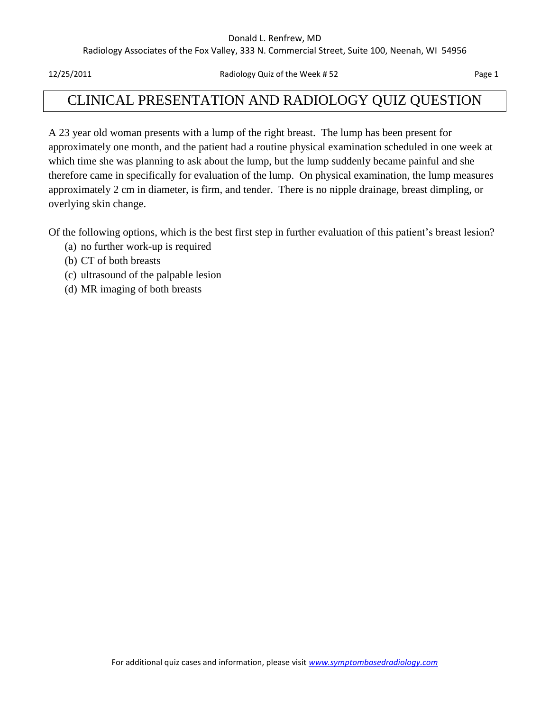#### Donald L. Renfrew, MD

Radiology Associates of the Fox Valley, 333 N. Commercial Street, Suite 100, Neenah, WI 54956

12/25/2011 Radiology Quiz of the Week # 52 Page 1

## CLINICAL PRESENTATION AND RADIOLOGY QUIZ QUESTION

A 23 year old woman presents with a lump of the right breast. The lump has been present for approximately one month, and the patient had a routine physical examination scheduled in one week at which time she was planning to ask about the lump, but the lump suddenly became painful and she therefore came in specifically for evaluation of the lump. On physical examination, the lump measures approximately 2 cm in diameter, is firm, and tender. There is no nipple drainage, breast dimpling, or overlying skin change.

Of the following options, which is the best first step in further evaluation of this patient's breast lesion?

- (a) no further work-up is required
- (b) CT of both breasts
- (c) ultrasound of the palpable lesion
- (d) MR imaging of both breasts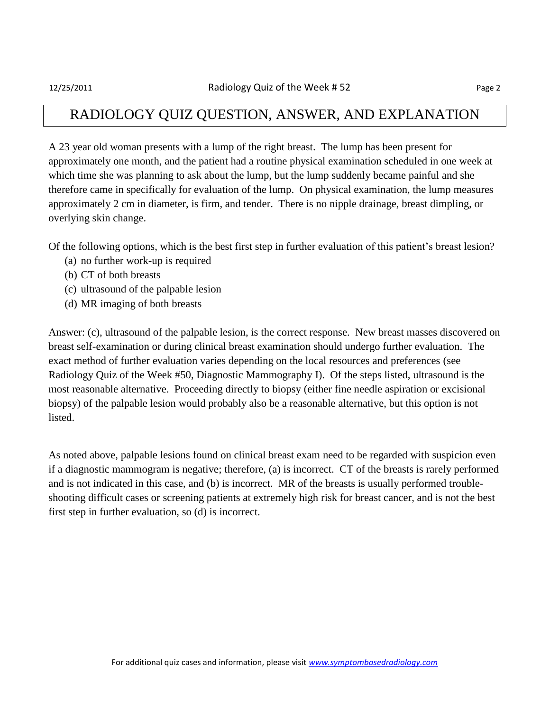## RADIOLOGY QUIZ QUESTION, ANSWER, AND EXPLANATION

A 23 year old woman presents with a lump of the right breast. The lump has been present for approximately one month, and the patient had a routine physical examination scheduled in one week at which time she was planning to ask about the lump, but the lump suddenly became painful and she therefore came in specifically for evaluation of the lump. On physical examination, the lump measures approximately 2 cm in diameter, is firm, and tender. There is no nipple drainage, breast dimpling, or overlying skin change.

Of the following options, which is the best first step in further evaluation of this patient's breast lesion?

- (a) no further work-up is required
- (b) CT of both breasts
- (c) ultrasound of the palpable lesion
- (d) MR imaging of both breasts

Answer: (c), ultrasound of the palpable lesion, is the correct response. New breast masses discovered on breast self-examination or during clinical breast examination should undergo further evaluation. The exact method of further evaluation varies depending on the local resources and preferences (see Radiology Quiz of the Week #50, Diagnostic Mammography I). Of the steps listed, ultrasound is the most reasonable alternative. Proceeding directly to biopsy (either fine needle aspiration or excisional biopsy) of the palpable lesion would probably also be a reasonable alternative, but this option is not listed.

As noted above, palpable lesions found on clinical breast exam need to be regarded with suspicion even if a diagnostic mammogram is negative; therefore, (a) is incorrect. CT of the breasts is rarely performed and is not indicated in this case, and (b) is incorrect. MR of the breasts is usually performed troubleshooting difficult cases or screening patients at extremely high risk for breast cancer, and is not the best first step in further evaluation, so (d) is incorrect.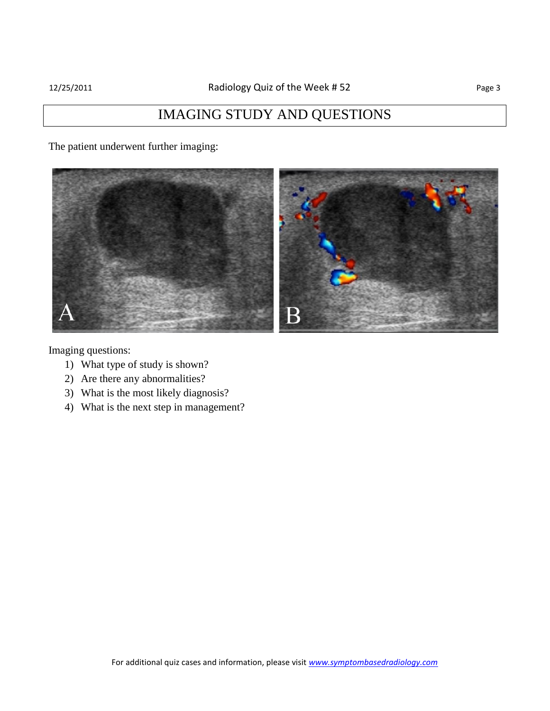# IMAGING STUDY AND QUESTIONS

The patient underwent further imaging:



Imaging questions:

- 1) What type of study is shown?
- 2) Are there any abnormalities?
- 3) What is the most likely diagnosis?
- 4) What is the next step in management?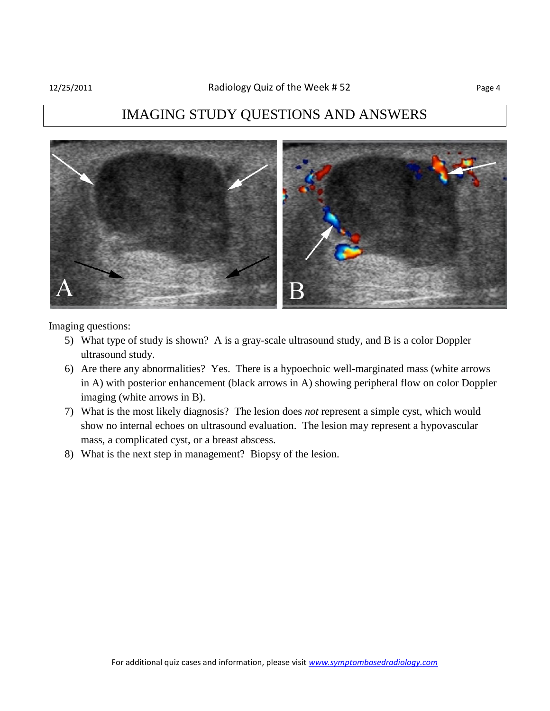## IMAGING STUDY QUESTIONS AND ANSWERS



Imaging questions:

- 5) What type of study is shown? A is a gray-scale ultrasound study, and B is a color Doppler ultrasound study.
- 6) Are there any abnormalities? Yes. There is a hypoechoic well-marginated mass (white arrows in A) with posterior enhancement (black arrows in A) showing peripheral flow on color Doppler imaging (white arrows in B).
- 7) What is the most likely diagnosis? The lesion does *not* represent a simple cyst, which would show no internal echoes on ultrasound evaluation. The lesion may represent a hypovascular mass, a complicated cyst, or a breast abscess.
- 8) What is the next step in management? Biopsy of the lesion.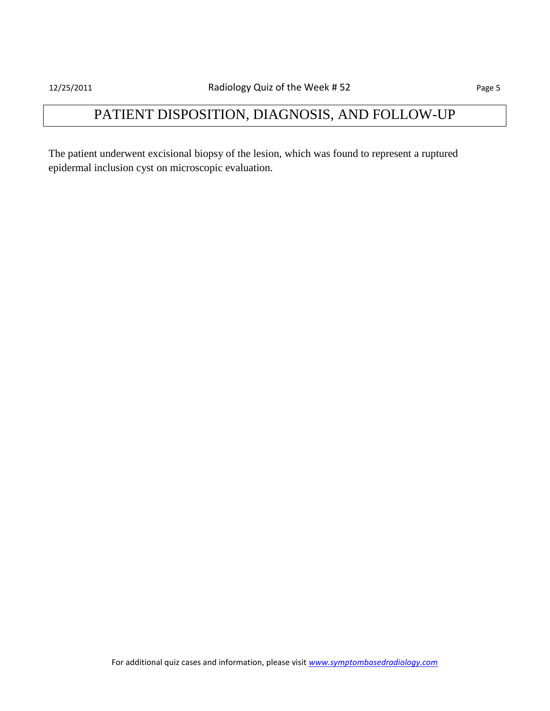# PATIENT DISPOSITION, DIAGNOSIS, AND FOLLOW-UP

The patient underwent excisional biopsy of the lesion, which was found to represent a ruptured epidermal inclusion cyst on microscopic evaluation.